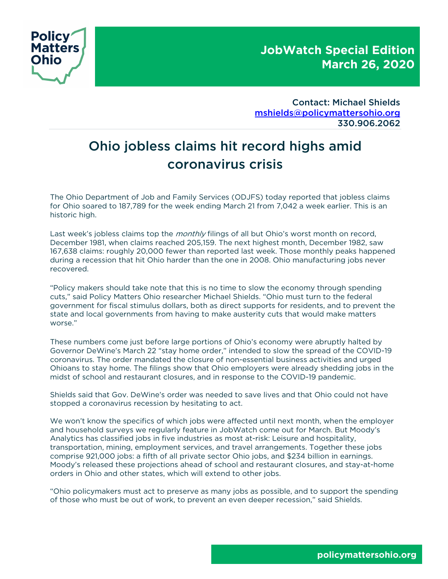

Contact: Michael Shields mshields@policymattersohio.org 330.906.2062

# Ohio jobless claims hit record highs amid coronavirus crisis

The Ohio Department of Job and Family Services (ODJFS) today reported that jobless claims for Ohio soared to 187,789 for the week ending March 21 from 7,042 a week earlier. This is an historic high.

Last week's jobless claims top the *monthly* filings of all but Ohio's worst month on record, December 1981, when claims reached 205,159. The next highest month, December 1982, saw 167,638 claims: roughly 20,000 fewer than reported last week. Those monthly peaks happened during a recession that hit Ohio harder than the one in 2008. Ohio manufacturing jobs never recovered.

"Policy makers should take note that this is no time to slow the economy through spending cuts," said Policy Matters Ohio researcher Michael Shields. "Ohio must turn to the federal government for fiscal stimulus dollars, both as direct supports for residents, and to prevent the state and local governments from having to make austerity cuts that would make matters worse."

These numbers come just before large portions of Ohio's economy were abruptly halted by Governor DeWine's March 22 "stay home order," intended to slow the spread of the COVID-19 coronavirus. The order mandated the closure of non-essential business activities and urged Ohioans to stay home. The filings show that Ohio employers were already shedding jobs in the midst of school and restaurant closures, and in response to the COVID-19 pandemic.

Shields said that Gov. DeWine's order was needed to save lives and that Ohio could not have stopped a coronavirus recession by hesitating to act.

We won't know the specifics of which jobs were affected until next month, when the employer and household surveys we regularly feature in JobWatch come out for March. But Moody's Analytics has classified jobs in five industries as most at-risk: Leisure and hospitality, transportation, mining, employment services, and travel arrangements. Together these jobs comprise 921,000 jobs: a fifth of all private sector Ohio jobs, and \$234 billion in earnings. Moody's released these projections ahead of school and restaurant closures, and stay-at-home orders in Ohio and other states, which will extend to other jobs.

"Ohio policymakers must act to preserve as many jobs as possible, and to support the spending of those who must be out of work, to prevent an even deeper recession," said Shields.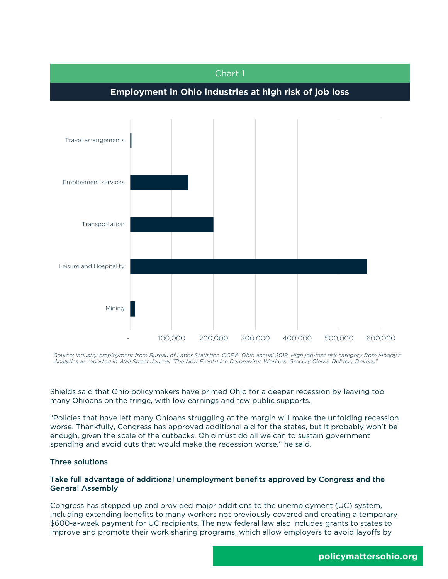

Source: Industry employment from Bureau of Labor Statistics, QCEW Ohio annual 2018. High job-loss risk category from Moody's *Analytics as reported in Wall Street Journal "The New Front-Line Coronavirus Workers: Grocery Clerks, Delivery Drivers."*

Shields said that Ohio policymakers have primed Ohio for a deeper recession by leaving too many Ohioans on the fringe, with low earnings and few public supports.

"Policies that have left many Ohioans struggling at the margin will make the unfolding recession worse. Thankfully, Congress has approved additional aid for the states, but it probably won't be enough, given the scale of the cutbacks. Ohio must do all we can to sustain government spending and avoid cuts that would make the recession worse," he said.

#### Three solutions

## Take full advantage of additional unemployment benefits approved by Congress and the General Assembly

Congress has stepped up and provided major additions to the unemployment (UC) system, including extending benefits to many workers not previously covered and creating a temporary \$600-a-week payment for UC recipients. The new federal law also includes grants to states to improve and promote their work sharing programs, which allow employers to avoid layoffs by